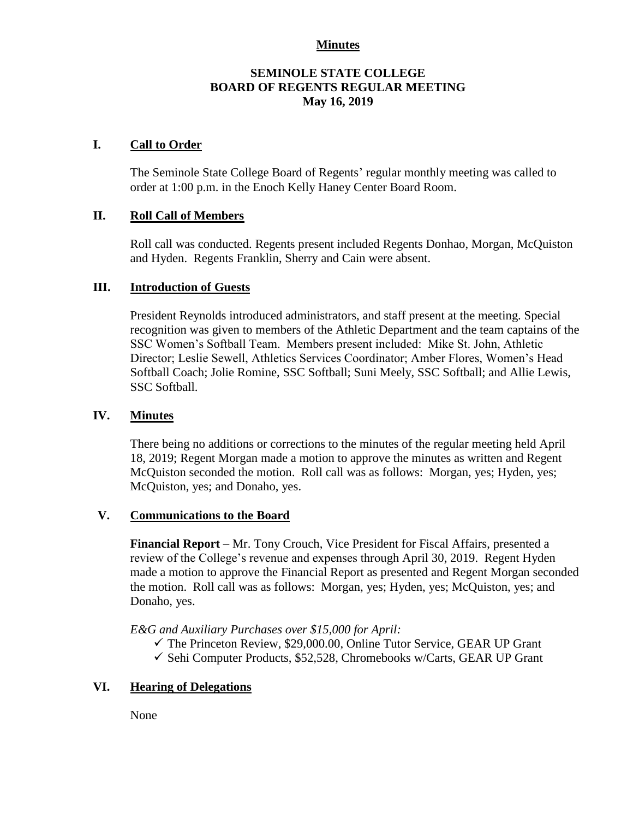#### **Minutes**

## **SEMINOLE STATE COLLEGE BOARD OF REGENTS REGULAR MEETING May 16, 2019**

## **I. Call to Order**

The Seminole State College Board of Regents' regular monthly meeting was called to order at 1:00 p.m. in the Enoch Kelly Haney Center Board Room.

## **II. Roll Call of Members**

Roll call was conducted. Regents present included Regents Donhao, Morgan, McQuiston and Hyden. Regents Franklin, Sherry and Cain were absent.

#### **III. Introduction of Guests**

President Reynolds introduced administrators, and staff present at the meeting. Special recognition was given to members of the Athletic Department and the team captains of the SSC Women's Softball Team. Members present included: Mike St. John, Athletic Director; Leslie Sewell, Athletics Services Coordinator; Amber Flores, Women's Head Softball Coach; Jolie Romine, SSC Softball; Suni Meely, SSC Softball; and Allie Lewis, SSC Softball.

#### **IV. Minutes**

There being no additions or corrections to the minutes of the regular meeting held April 18, 2019; Regent Morgan made a motion to approve the minutes as written and Regent McQuiston seconded the motion. Roll call was as follows: Morgan, yes; Hyden, yes; McQuiston, yes; and Donaho, yes.

#### **V. Communications to the Board**

**Financial Report** – Mr. Tony Crouch, Vice President for Fiscal Affairs, presented a review of the College's revenue and expenses through April 30, 2019. Regent Hyden made a motion to approve the Financial Report as presented and Regent Morgan seconded the motion. Roll call was as follows: Morgan, yes; Hyden, yes; McQuiston, yes; and Donaho, yes.

*E&G and Auxiliary Purchases over \$15,000 for April:*

- $\checkmark$  The Princeton Review, \$29,000.00, Online Tutor Service, GEAR UP Grant
- $\checkmark$  Sehi Computer Products, \$52,528, Chromebooks w/Carts, GEAR UP Grant

## **VI. Hearing of Delegations**

None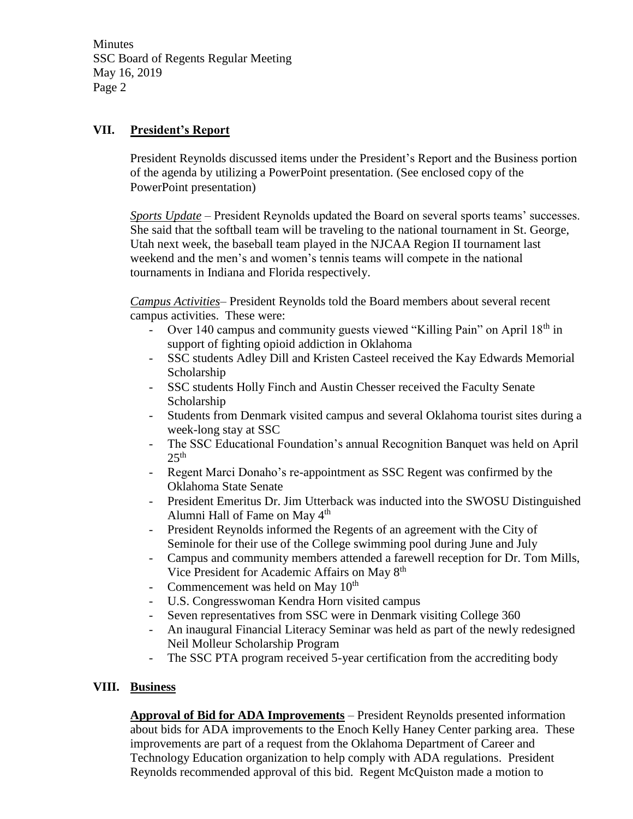**Minutes** SSC Board of Regents Regular Meeting May 16, 2019 Page 2

# **VII. President's Report**

President Reynolds discussed items under the President's Report and the Business portion of the agenda by utilizing a PowerPoint presentation. (See enclosed copy of the PowerPoint presentation)

*Sports Update* – President Reynolds updated the Board on several sports teams' successes. She said that the softball team will be traveling to the national tournament in St. George, Utah next week, the baseball team played in the NJCAA Region II tournament last weekend and the men's and women's tennis teams will compete in the national tournaments in Indiana and Florida respectively.

*Campus Activities*– President Reynolds told the Board members about several recent campus activities. These were:

- Over 140 campus and community guests viewed "Killing Pain" on April 18<sup>th</sup> in support of fighting opioid addiction in Oklahoma
- SSC students Adley Dill and Kristen Casteel received the Kay Edwards Memorial Scholarship
- SSC students Holly Finch and Austin Chesser received the Faculty Senate Scholarship
- Students from Denmark visited campus and several Oklahoma tourist sites during a week-long stay at SSC
- The SSC Educational Foundation's annual Recognition Banquet was held on April  $25<sup>th</sup>$
- Regent Marci Donaho's re-appointment as SSC Regent was confirmed by the Oklahoma State Senate
- President Emeritus Dr. Jim Utterback was inducted into the SWOSU Distinguished Alumni Hall of Fame on May 4th
- President Reynolds informed the Regents of an agreement with the City of Seminole for their use of the College swimming pool during June and July
- Campus and community members attended a farewell reception for Dr. Tom Mills, Vice President for Academic Affairs on May 8th
- Commencement was held on May  $10^{th}$
- U.S. Congresswoman Kendra Horn visited campus
- Seven representatives from SSC were in Denmark visiting College 360
- An inaugural Financial Literacy Seminar was held as part of the newly redesigned Neil Molleur Scholarship Program
- The SSC PTA program received 5-year certification from the accrediting body

# **VIII. Business**

**Approval of Bid for ADA Improvements** – President Reynolds presented information about bids for ADA improvements to the Enoch Kelly Haney Center parking area. These improvements are part of a request from the Oklahoma Department of Career and Technology Education organization to help comply with ADA regulations. President Reynolds recommended approval of this bid. Regent McQuiston made a motion to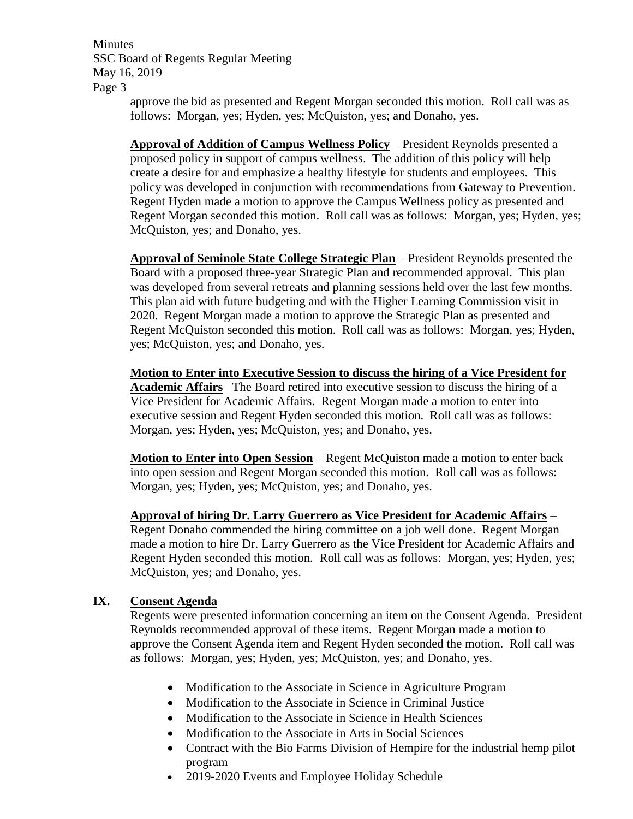**Minutes** SSC Board of Regents Regular Meeting May 16, 2019 Page 3

approve the bid as presented and Regent Morgan seconded this motion. Roll call was as follows: Morgan, yes; Hyden, yes; McQuiston, yes; and Donaho, yes.

**Approval of Addition of Campus Wellness Policy** – President Reynolds presented a proposed policy in support of campus wellness. The addition of this policy will help create a desire for and emphasize a healthy lifestyle for students and employees. This policy was developed in conjunction with recommendations from Gateway to Prevention. Regent Hyden made a motion to approve the Campus Wellness policy as presented and Regent Morgan seconded this motion. Roll call was as follows: Morgan, yes; Hyden, yes; McQuiston, yes; and Donaho, yes.

**Approval of Seminole State College Strategic Plan** – President Reynolds presented the Board with a proposed three-year Strategic Plan and recommended approval. This plan was developed from several retreats and planning sessions held over the last few months. This plan aid with future budgeting and with the Higher Learning Commission visit in 2020. Regent Morgan made a motion to approve the Strategic Plan as presented and Regent McQuiston seconded this motion. Roll call was as follows: Morgan, yes; Hyden, yes; McQuiston, yes; and Donaho, yes.

**Motion to Enter into Executive Session to discuss the hiring of a Vice President for Academic Affairs** –The Board retired into executive session to discuss the hiring of a Vice President for Academic Affairs. Regent Morgan made a motion to enter into executive session and Regent Hyden seconded this motion. Roll call was as follows: Morgan, yes; Hyden, yes; McQuiston, yes; and Donaho, yes.

**Motion to Enter into Open Session** – Regent McQuiston made a motion to enter back into open session and Regent Morgan seconded this motion. Roll call was as follows: Morgan, yes; Hyden, yes; McQuiston, yes; and Donaho, yes.

**Approval of hiring Dr. Larry Guerrero as Vice President for Academic Affairs** –

Regent Donaho commended the hiring committee on a job well done. Regent Morgan made a motion to hire Dr. Larry Guerrero as the Vice President for Academic Affairs and Regent Hyden seconded this motion. Roll call was as follows: Morgan, yes; Hyden, yes; McQuiston, yes; and Donaho, yes.

# **IX. Consent Agenda**

Regents were presented information concerning an item on the Consent Agenda. President Reynolds recommended approval of these items. Regent Morgan made a motion to approve the Consent Agenda item and Regent Hyden seconded the motion. Roll call was as follows: Morgan, yes; Hyden, yes; McQuiston, yes; and Donaho, yes.

- Modification to the Associate in Science in Agriculture Program
- Modification to the Associate in Science in Criminal Justice
- Modification to the Associate in Science in Health Sciences
- Modification to the Associate in Arts in Social Sciences
- Contract with the Bio Farms Division of Hempire for the industrial hemp pilot program
- 2019-2020 Events and Employee Holiday Schedule